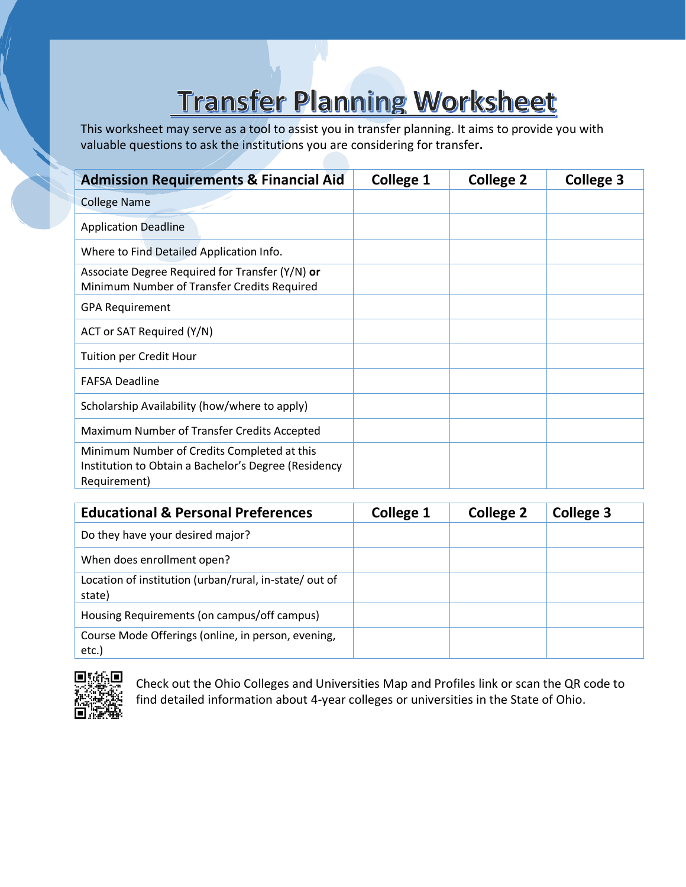# **Transfer Planning Worksheet**

This worksheet may serve as a tool to assist you in transfer planning. It aims to provide you with valuable questions to ask the institutions you are considering for transfer**.**

| <b>Admission Requirements &amp; Financial Aid</b>                                                                   | <b>College 1</b> | <b>College 2</b> | <b>College 3</b> |
|---------------------------------------------------------------------------------------------------------------------|------------------|------------------|------------------|
| <b>College Name</b>                                                                                                 |                  |                  |                  |
| <b>Application Deadline</b>                                                                                         |                  |                  |                  |
| Where to Find Detailed Application Info.                                                                            |                  |                  |                  |
| Associate Degree Required for Transfer (Y/N) or<br>Minimum Number of Transfer Credits Required                      |                  |                  |                  |
| <b>GPA Requirement</b>                                                                                              |                  |                  |                  |
| ACT or SAT Required (Y/N)                                                                                           |                  |                  |                  |
| <b>Tuition per Credit Hour</b>                                                                                      |                  |                  |                  |
| <b>FAFSA Deadline</b>                                                                                               |                  |                  |                  |
| Scholarship Availability (how/where to apply)                                                                       |                  |                  |                  |
| Maximum Number of Transfer Credits Accepted                                                                         |                  |                  |                  |
| Minimum Number of Credits Completed at this<br>Institution to Obtain a Bachelor's Degree (Residency<br>Requirement) |                  |                  |                  |

| <b>Educational &amp; Personal Preferences</b>                    | <b>College 1</b> | <b>College 2</b> | <b>College 3</b> |
|------------------------------------------------------------------|------------------|------------------|------------------|
| Do they have your desired major?                                 |                  |                  |                  |
| When does enrollment open?                                       |                  |                  |                  |
| Location of institution (urban/rural, in-state/ out of<br>state) |                  |                  |                  |
| Housing Requirements (on campus/off campus)                      |                  |                  |                  |
| Course Mode Offerings (online, in person, evening,<br>$etc.$ )   |                  |                  |                  |



Check out the [Ohio Colleges and Universities Map and Profiles](https://www.ohiohighered.org/students) link or scan the QR code to find detailed information about 4-year colleges or universities in the State of Ohio.